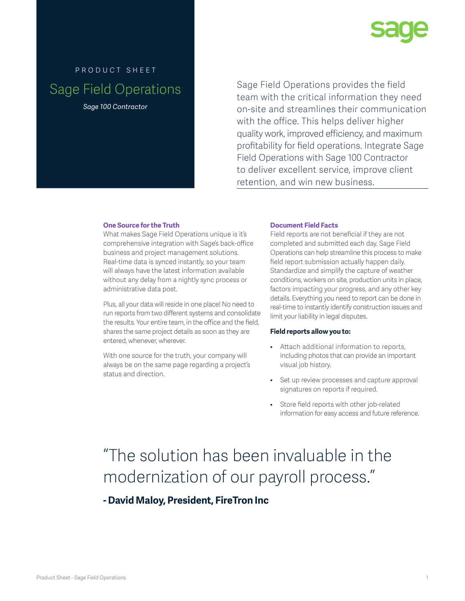

# product sheet Sage Field Operations *Sage 100 Contractor*

Sage Field Operations provides the field team with the critical information they need on-site and streamlines their communication with the office. This helps deliver higher quality work, improved efficiency, and maximum profitability for field operations. Integrate Sage Field Operations with Sage 100 Contractor to deliver excellent service, improve client retention, and win new business.

# **One Source for the Truth**

What makes Sage Field Operations unique is it's comprehensive integration with Sage's back-office business and project management solutions. Real-time data is synced instantly, so your team will always have the latest information available without any delay from a nightly sync process or administrative data post.

Plus, all your data will reside in one place! No need to run reports from two different systems and consolidate the results. Your entire team, in the office and the field, shares the same project details as soon as they are entered, whenever, wherever.

With one source for the truth, your company will always be on the same page regarding a project's status and direction.

# **Document Field Facts**

Field reports are not beneficial if they are not completed and submitted each day. Sage Field Operations can help streamline this process to make field report submission actually happen daily. Standardize and simplify the capture of weather conditions, workers on site, production units in place, factors impacting your progress, and any other key details. Everything you need to report can be done in real-time to instantly identify construction issues and limit your liability in legal disputes.

#### **Field reports allow you to:**

- Attach additional information to reports, including photos that can provide an important visual job history.
- Set up review processes and capture approval signatures on reports if required.
- Store field reports with other job-related information for easy access and future reference.

# "The solution has been invaluable in the modernization of our payroll process."

**- David Maloy, President, FireTron Inc**